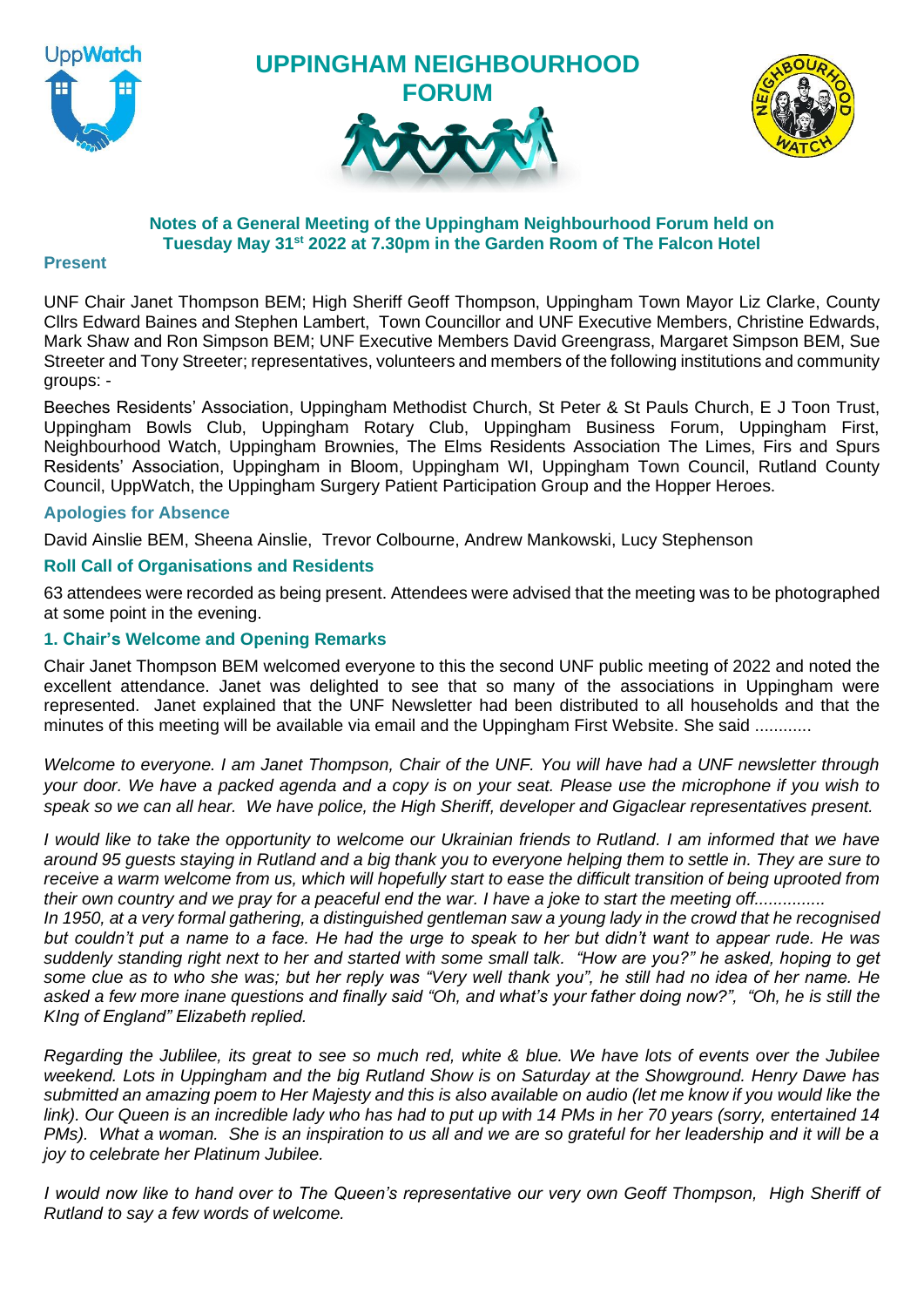

**UPPINGHAM NEIGHBOURHOOD FORUM**





# **Notes of a General Meeting of the Uppingham Neighbourhood Forum held on Tuesday May 31st 2022 at 7.30pm in the Garden Room of The Falcon Hotel**

#### **Present**

UNF Chair Janet Thompson BEM; High Sheriff Geoff Thompson, Uppingham Town Mayor Liz Clarke, County Cllrs Edward Baines and Stephen Lambert, Town Councillor and UNF Executive Members, Christine Edwards, Mark Shaw and Ron Simpson BEM; UNF Executive Members David Greengrass, Margaret Simpson BEM, Sue Streeter and Tony Streeter; representatives, volunteers and members of the following institutions and community groups: -

Beeches Residents' Association, Uppingham Methodist Church, St Peter & St Pauls Church, E J Toon Trust, Uppingham Bowls Club, Uppingham Rotary Club, Uppingham Business Forum, Uppingham First, Neighbourhood Watch, Uppingham Brownies, The Elms Residents Association The Limes, Firs and Spurs Residents' Association, Uppingham in Bloom, Uppingham WI, Uppingham Town Council, Rutland County Council, UppWatch, the Uppingham Surgery Patient Participation Group and the Hopper Heroes.

# **Apologies for Absence**

David Ainslie BEM, Sheena Ainslie, Trevor Colbourne, Andrew Mankowski, Lucy Stephenson

#### **Roll Call of Organisations and Residents**

63 attendees were recorded as being present. Attendees were advised that the meeting was to be photographed at some point in the evening.

# **1. Chair's Welcome and Opening Remarks**

Chair Janet Thompson BEM welcomed everyone to this the second UNF public meeting of 2022 and noted the excellent attendance. Janet was delighted to see that so many of the associations in Uppingham were represented. Janet explained that the UNF Newsletter had been distributed to all households and that the minutes of this meeting will be available via email and the Uppingham First Website. She said ............

*Welcome to everyone. I am Janet Thompson, Chair of the UNF. You will have had a UNF newsletter through your door. We have a packed agenda and a copy is on your seat. Please use the microphone if you wish to speak so we can all hear. We have police, the High Sheriff, developer and Gigaclear representatives present.*

*I would like to take the opportunity to welcome our Ukrainian friends to Rutland. I am informed that we have around 95 guests staying in Rutland and a big thank you to everyone helping them to settle in. They are sure to receive a warm welcome from us, which will hopefully start to ease the difficult transition of being uprooted from their own country and we pray for a peaceful end the war. I have a joke to start the meeting off...............*

*In 1950, at a very formal gathering, a distinguished gentleman saw a young lady in the crowd that he recognised but couldn't put a name to a face. He had the urge to speak to her but didn't want to appear rude. He was suddenly standing right next to her and started with some small talk. "How are you?" he asked, hoping to get some clue as to who she was; but her reply was "Very well thank you", he still had no idea of her name. He*  asked a few more inane questions and finally said "Oh, and what's your father doing now?", "Oh, he is still the *KIng of England" Elizabeth replied.*

*Regarding the Jublilee, its great to see so much red, white & blue. We have lots of events over the Jubilee weekend. Lots in Uppingham and the big Rutland Show is on Saturday at the Showground. Henry Dawe has submitted an amazing poem to Her Majesty and this is also available on audio (let me know if you would like the link). Our Queen is an incredible lady who has had to put up with 14 PMs in her 70 years (sorry, entertained 14 PMs). What a woman. She is an inspiration to us all and we are so grateful for her leadership and it will be a joy to celebrate her Platinum Jubilee.*

*I would now like to hand over to The Queen's representative our very own Geoff Thompson, High Sheriff of Rutland to say a few words of welcome.*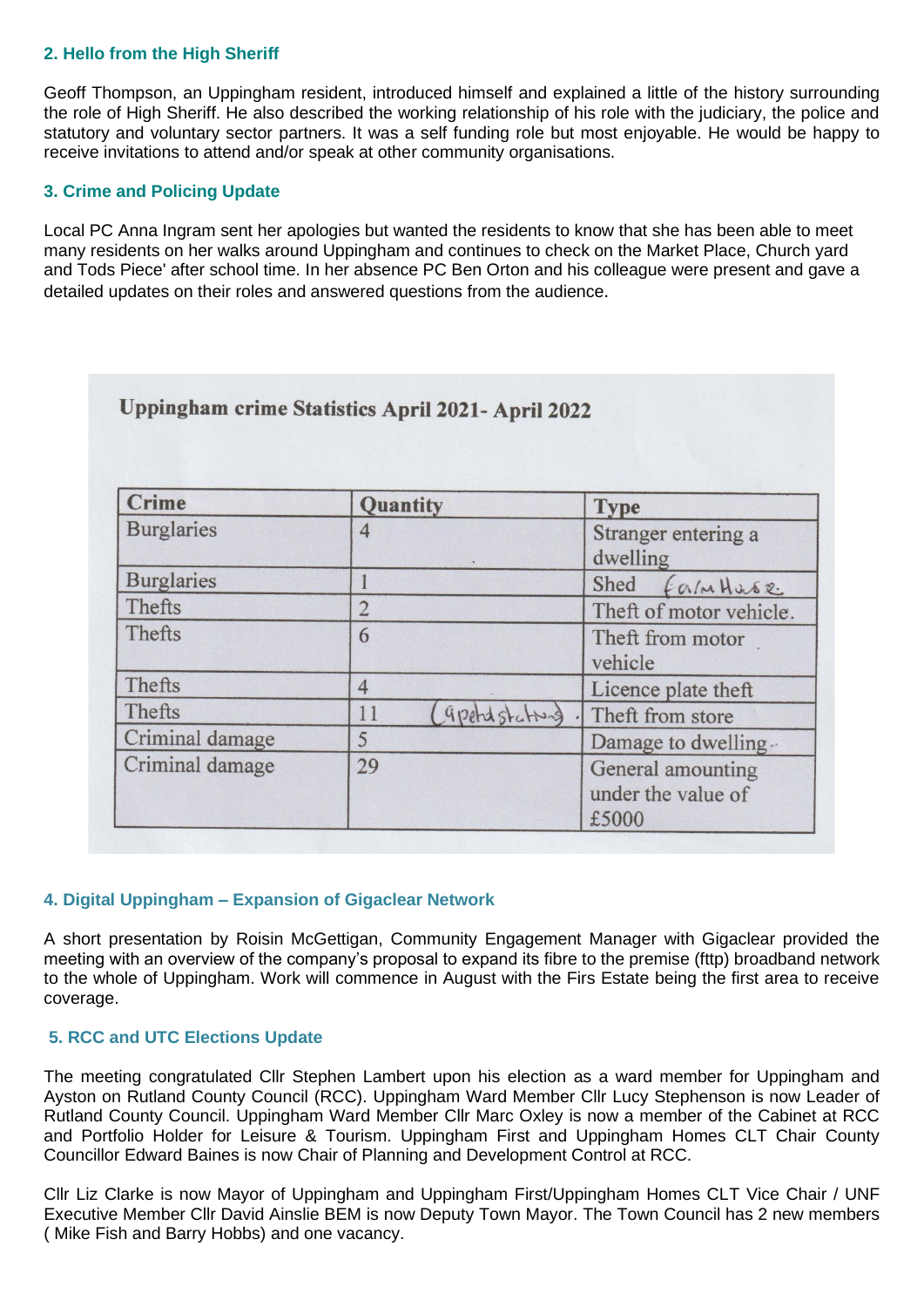# **2. Hello from the High Sheriff**

Geoff Thompson, an Uppingham resident, introduced himself and explained a little of the history surrounding the role of High Sheriff. He also described the working relationship of his role with the judiciary, the police and statutory and voluntary sector partners. It was a self funding role but most enjoyable. He would be happy to receive invitations to attend and/or speak at other community organisations.

# **3. Crime and Policing Update**

Local PC Anna Ingram sent her apologies but wanted the residents to know that she has been able to meet many residents on her walks around Uppingham and continues to check on the Market Place, Church yard and Tods Piece' after school time. In her absence PC Ben Orton and his colleague were present and gave a detailed updates on their roles and answered questions from the audience.

| <b>Crime</b>      | Quantity             | <b>Type</b><br>Stranger entering a<br>dwelling   |  |
|-------------------|----------------------|--------------------------------------------------|--|
| <b>Burglaries</b> | 4                    |                                                  |  |
| <b>Burglaries</b> |                      | Shed<br>Form Huse                                |  |
| Thefts            | $\overline{2}$       | Theft of motor vehicle.                          |  |
| Thefts            | 6                    | Theft from motor<br>vehicle                      |  |
| Thefts            | $\overline{4}$       | Licence plate theft                              |  |
| Thefts            | gpetid stating<br>11 | Theft from store                                 |  |
| Criminal damage   | 5                    | Damage to dwelling-                              |  |
| Criminal damage   | 29                   | General amounting<br>under the value of<br>£5000 |  |

# **4. Digital Uppingham – Expansion of Gigaclear Network**

A short presentation by Roisin McGettigan, Community Engagement Manager with Gigaclear provided the meeting with an overview of the company's proposal to expand its fibre to the premise (fttp) broadband network to the whole of Uppingham. Work will commence in August with the Firs Estate being the first area to receive coverage.

# **5. RCC and UTC Elections Update**

The meeting congratulated Cllr Stephen Lambert upon his election as a ward member for Uppingham and Ayston on Rutland County Council (RCC). Uppingham Ward Member Cllr Lucy Stephenson is now Leader of Rutland County Council. Uppingham Ward Member Cllr Marc Oxley is now a member of the Cabinet at RCC and Portfolio Holder for Leisure & Tourism. Uppingham First and Uppingham Homes CLT Chair County Councillor Edward Baines is now Chair of Planning and Development Control at RCC.

Cllr Liz Clarke is now Mayor of Uppingham and Uppingham First/Uppingham Homes CLT Vice Chair / UNF Executive Member Cllr David Ainslie BEM is now Deputy Town Mayor. The Town Council has 2 new members ( Mike Fish and Barry Hobbs) and one vacancy.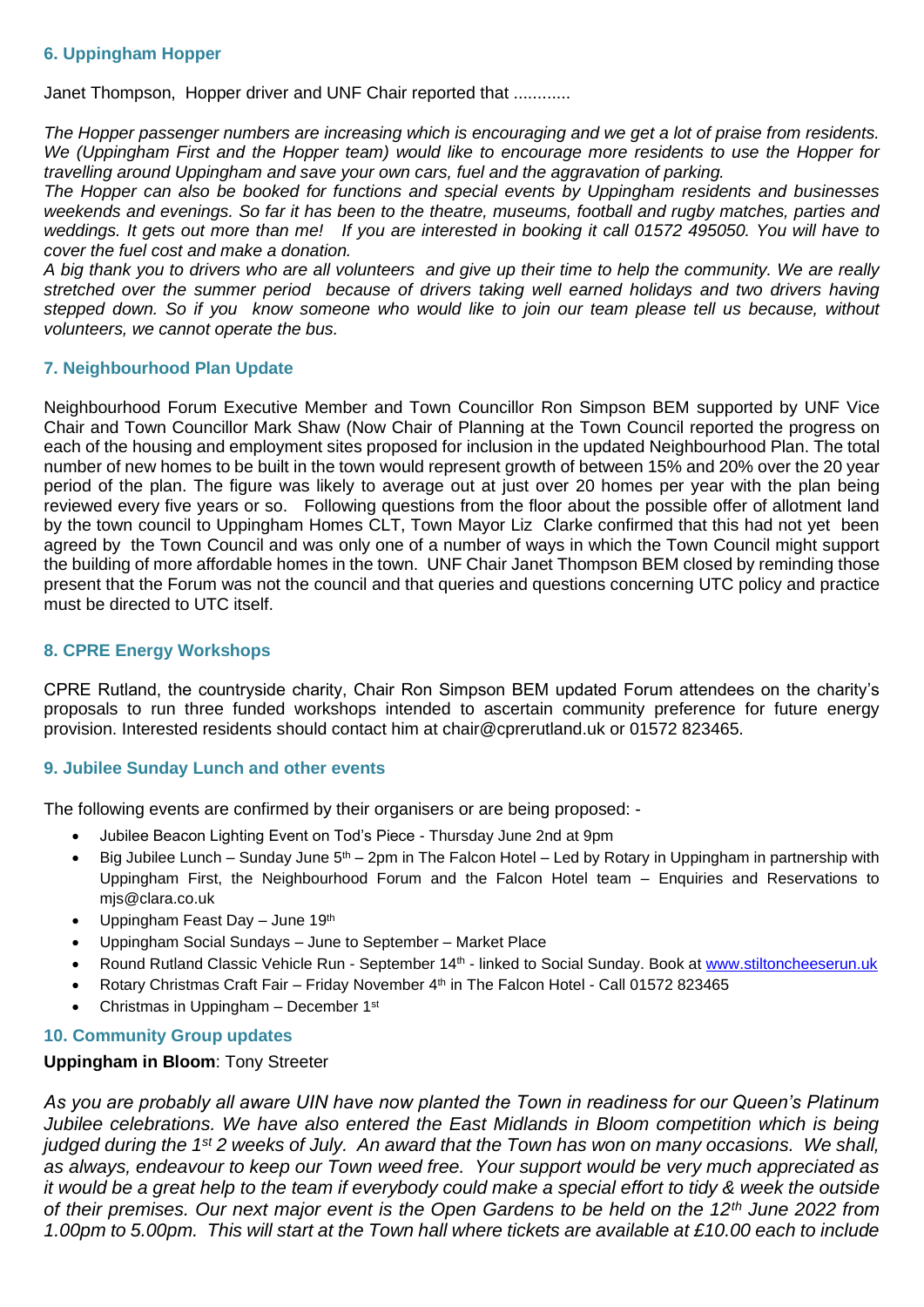#### **6. Uppingham Hopper**

Janet Thompson, Hopper driver and UNF Chair reported that ............

*The Hopper passenger numbers are increasing which is encouraging and we get a lot of praise from residents. We (Uppingham First and the Hopper team) would like to encourage more residents to use the Hopper for travelling around Uppingham and save your own cars, fuel and the aggravation of parking.*

*The Hopper can also be booked for functions and special events by Uppingham residents and businesses weekends and evenings. So far it has been to the theatre, museums, football and rugby matches, parties and weddings. It gets out more than me! If you are interested in booking it call 01572 495050. You will have to cover the fuel cost and make a donation.* 

*A big thank you to drivers who are all volunteers and give up their time to help the community. We are really stretched over the summer period because of drivers taking well earned holidays and two drivers having stepped down. So if you know someone who would like to join our team please tell us because, without volunteers, we cannot operate the bus.* 

#### **7. Neighbourhood Plan Update**

Neighbourhood Forum Executive Member and Town Councillor Ron Simpson BEM supported by UNF Vice Chair and Town Councillor Mark Shaw (Now Chair of Planning at the Town Council reported the progress on each of the housing and employment sites proposed for inclusion in the updated Neighbourhood Plan. The total number of new homes to be built in the town would represent growth of between 15% and 20% over the 20 year period of the plan. The figure was likely to average out at just over 20 homes per year with the plan being reviewed every five years or so. Following questions from the floor about the possible offer of allotment land by the town council to Uppingham Homes CLT, Town Mayor Liz Clarke confirmed that this had not yet been agreed by the Town Council and was only one of a number of ways in which the Town Council might support the building of more affordable homes in the town. UNF Chair Janet Thompson BEM closed by reminding those present that the Forum was not the council and that queries and questions concerning UTC policy and practice must be directed to UTC itself.

#### **8. CPRE Energy Workshops**

CPRE Rutland, the countryside charity, Chair Ron Simpson BEM updated Forum attendees on the charity's proposals to run three funded workshops intended to ascertain community preference for future energy provision. Interested residents should contact him at chair@cprerutland.uk or 01572 823465.

# **9. Jubilee Sunday Lunch and other events**

The following events are confirmed by their organisers or are being proposed: -

- Jubilee Beacon Lighting Event on Tod's Piece Thursday June 2nd at 9pm
- Big Jubilee Lunch Sunday June  $5<sup>th</sup>$  2pm in The Falcon Hotel Led by Rotary in Uppingham in partnership with Uppingham First, the Neighbourhood Forum and the Falcon Hotel team – Enquiries and Reservations to mjs@clara.co.uk
- Uppingham Feast Day June 19<sup>th</sup>
- Uppingham Social Sundays June to September Market Place
- Round Rutland Classic Vehicle Run September 14<sup>th</sup> linked to Social Sunday. Book at [www.stiltoncheeserun.uk](http://www.stiltoncheeserun.uk/)
- Rotary Christmas Craft Fair Friday November 4th in The Falcon Hotel Call 01572 823465
- Christmas in Uppingham December 1st

# **10. Community Group updates**

#### **Uppingham in Bloom**: Tony Streeter

*As you are probably all aware UIN have now planted the Town in readiness for our Queen's Platinum Jubilee celebrations. We have also entered the East Midlands in Bloom competition which is being judged during the 1st 2 weeks of July. An award that the Town has won on many occasions. We shall, as always, endeavour to keep our Town weed free. Your support would be very much appreciated as it would be a great help to the team if everybody could make a special effort to tidy & week the outside of their premises. Our next major event is the Open Gardens to be held on the 12th June 2022 from 1.00pm to 5.00pm. This will start at the Town hall where tickets are available at £10.00 each to include*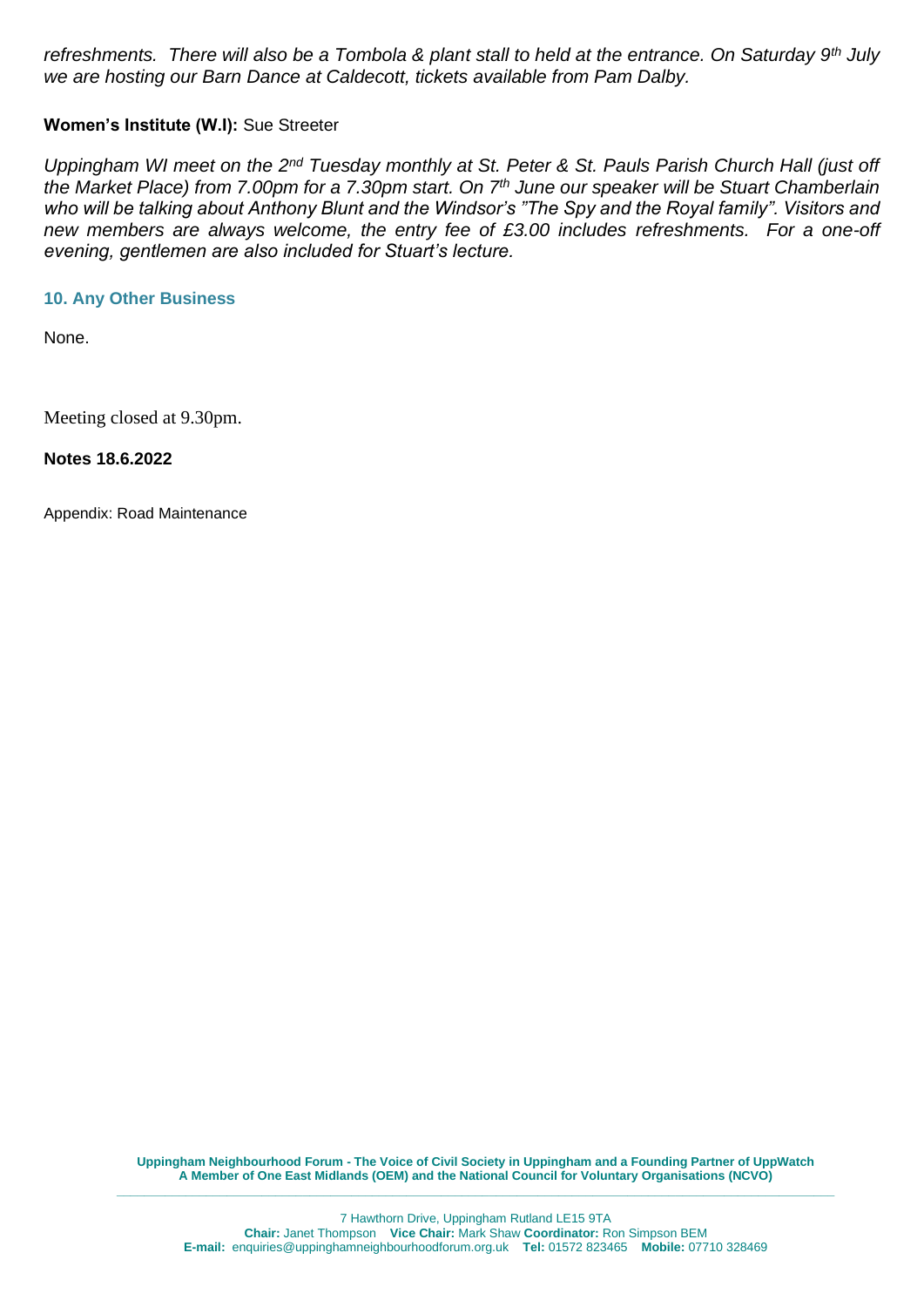*refreshments. There will also be a Tombola & plant stall to held at the entrance. On Saturday 9th July we are hosting our Barn Dance at Caldecott, tickets available from Pam Dalby.*

# **Women's Institute (W.I):** Sue Streeter

*Uppingham WI meet on the 2nd Tuesday monthly at St. Peter & St. Pauls Parish Church Hall (just off the Market Place) from 7.00pm for a 7.30pm start. On 7th June our speaker will be Stuart Chamberlain who will be talking about Anthony Blunt and the Windsor's "The Spy and the Royal family". Visitors and new members are always welcome, the entry fee of £3.00 includes refreshments. For a one-off evening, gentlemen are also included for Stuart's lecture.*

# **10. Any Other Business**

None.

Meeting closed at 9.30pm.

**Notes 18.6.2022**

Appendix: Road Maintenance

**Uppingham Neighbourhood Forum - The Voice of Civil Society in Uppingham and a Founding Partner of UppWatch A Member of One East Midlands (OEM) and the National Council for Voluntary Organisations (NCVO) \_\_\_\_\_\_\_\_\_\_\_\_\_\_\_\_\_\_\_\_\_\_\_\_\_\_\_\_\_\_\_\_\_\_\_\_\_\_\_\_\_\_\_\_\_\_\_\_\_\_\_\_\_\_\_\_\_\_\_\_\_\_\_\_\_\_\_\_\_\_\_\_\_\_\_\_\_\_\_\_\_\_\_\_\_\_\_\_\_\_\_\_\_\_\_\_\_\_\_\_\_\_\_\_**